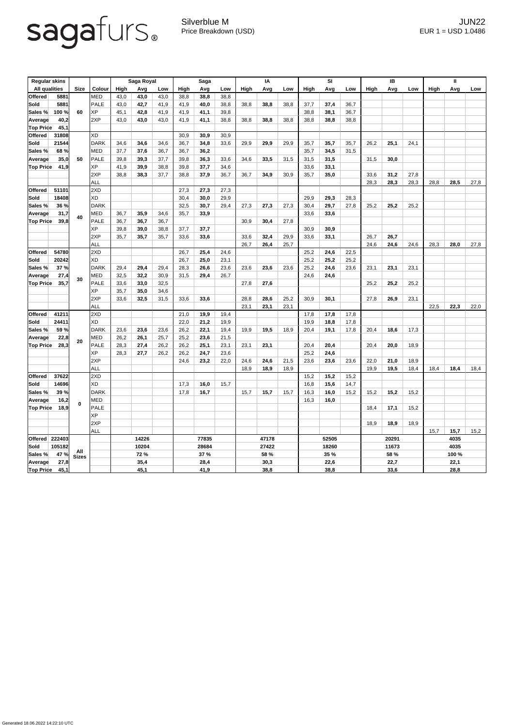## sagafurs.

Silverblue M JUN22 Price Breakdown (USD) error and the USD 1.0486

| <b>Regular skins</b> |        |              |               | Saga Royal  |      |       | <b>Saga</b> |      |       | IA    |      |       | SI          |      |       | IB          |      |      | $\mathbf{I}$ |      |      |
|----------------------|--------|--------------|---------------|-------------|------|-------|-------------|------|-------|-------|------|-------|-------------|------|-------|-------------|------|------|--------------|------|------|
| <b>All qualities</b> |        | <b>Size</b>  | <b>Colour</b> | <b>High</b> | Avg  | Low   | High        | Avg  | Low   | High  | Avg  | Low   | High        | Avg  | Low   | <b>High</b> | Avg  | Low  | <b>High</b>  | Avg  | Low  |
| <b>Offered</b>       | 5881   |              | <b>MED</b>    | 43,0        | 43,0 | 43,0  | 38,8        | 38,8 | 38,8  |       |      |       |             |      |       |             |      |      |              |      |      |
| <b>Sold</b>          | 5881   |              | <b>PALE</b>   | 43,0        | 42,7 | 41,9  | 41,9        | 40,0 | 38,8  | 38,8  | 38,8 | 38,8  | 37,7        | 37,4 | 36,7  |             |      |      |              |      |      |
| Sales %              | 100 %  | 60           | <b>XP</b>     | 45,1        | 42,8 | 41,9  | 41,9        | 41,1 | 39,8  |       |      |       | 38,8        | 38,1 | 36,7  |             |      |      |              |      |      |
| <b>Average</b>       | 40,2   |              | 2XP           | 43,0        | 43,0 | 43,0  | 41,9        | 41,1 | 38,8  | 38,8  | 38,8 | 38,8  | 38,8        | 38,8 | 38,8  |             |      |      |              |      |      |
| <b>Top Price</b>     | 45,1   |              |               |             |      |       |             |      |       |       |      |       |             |      |       |             |      |      |              |      |      |
| <b>Offered</b>       | 31808  |              | XD            |             |      |       | 30,9        | 30,9 | 30,9  |       |      |       |             |      |       |             |      |      |              |      |      |
| Sold                 | 21544  | 50           | <b>DARK</b>   | 34,6        | 34,6 | 34,6  | 36,7        | 34,8 | 33,6  | 29,9  | 29,9 | 29,9  | 35,7        | 35,7 | 35,7  | 26,2        | 25,1 | 24,1 |              |      |      |
| Sales %              | 68 %   |              | <b>MED</b>    | 37,7        | 37,6 | 36,7  | 36,7        | 36,2 |       |       |      |       | 35,7        | 34,5 | 31,5  |             |      |      |              |      |      |
| <b>Average</b>       | 35,0   |              | <b>PALE</b>   | 39,8        | 39,3 | 37,7  | 39,8        | 36,3 | 33,6  | 34,6  | 33,5 | 31,5  | 31,5        | 31,5 |       | 31,5        | 30,0 |      |              |      |      |
| <b>Top Price</b>     | 41,9   |              | <b>XP</b>     | 41,9        | 39,9 | 38,8  | 39,8        | 37,7 | 34,6  |       |      |       | 33,6        | 33,1 |       |             |      |      |              |      |      |
|                      |        |              | 2XP           | 38,8        | 38,3 | 37,7  | 38,8        | 37,9 | 36,7  | 36,7  | 34,9 | 30,9  | 35,7        | 35,0 |       | 33,6        | 31,2 | 27,8 |              |      |      |
|                      |        |              | <b>ALL</b>    |             |      |       |             |      |       |       |      |       |             |      |       | 28,3        | 28,3 | 28,3 | 28,8         | 28,5 | 27,8 |
| <b>Offered</b>       | 51101  |              | 2XD           |             |      |       | 27,3        | 27,3 | 27,3  |       |      |       |             |      |       |             |      |      |              |      |      |
| Sold                 | 18408  | 40           | <b>XD</b>     |             |      |       | 30,4        | 30,0 | 29,9  |       |      |       | 29,9        | 29,3 | 28,3  |             |      |      |              |      |      |
| Sales %              | 36 %   |              | <b>DARK</b>   |             |      |       | 32,5        | 30,7 | 29,4  | 27,3  | 27,3 | 27,3  | 30,4        | 29,7 | 27,8  | 25,2        | 25,2 | 25,2 |              |      |      |
| Average              | 31,7   |              | <b>MED</b>    | 36,7        | 35,9 | 34,6  | 35,7        | 33,9 |       |       |      |       | 33,6        | 33,6 |       |             |      |      |              |      |      |
| <b>Top Price</b>     | 39,8   |              | <b>PALE</b>   | 36,7        | 36,7 | 36,7  |             |      |       | 30,9  | 30,4 | 27,8  |             |      |       |             |      |      |              |      |      |
|                      |        |              | <b>XP</b>     | 39,8        | 39,0 | 38,8  | 37,7        | 37,7 |       |       |      |       | 30,9        | 30,9 |       |             |      |      |              |      |      |
|                      |        |              | 2XP           | 35,7        | 35,7 | 35,7  | 33,6        | 33,6 |       | 33,6  | 32,4 | 29,9  | 33,6        | 33,1 |       | 26,7        | 26,7 |      |              |      |      |
|                      |        |              | ALL           |             |      |       |             |      |       | 26,7  | 26,4 | 25,7  |             |      |       | 24,6        | 24,6 | 24,6 | 28,3         | 28,0 | 27,8 |
| <b>Offered</b>       | 54780  |              | 2XD           |             |      |       | 26,7        | 25,4 | 24,6  |       |      |       | 25,2        | 24,6 | 22,5  |             |      |      |              |      |      |
| Sold                 | 20242  |              | <b>XD</b>     |             |      |       | 26,7        | 25,0 | 23,1  |       |      |       | 25,2        | 25,2 | 25,2  |             |      |      |              |      |      |
| Sales %              | 37%    | 30           | <b>DARK</b>   | 29,4        | 29,4 | 29,4  | 28,3        | 26,6 | 23,6  | 23,6  | 23,6 | 23,6  | 25,2        | 24,6 | 23,6  | 23,1        | 23,1 | 23,1 |              |      |      |
| <b>Average</b>       | 27,4   |              | <b>MED</b>    | 32,5        | 32,2 | 30,9  | 31,5        | 29,4 | 26,7  |       |      |       | 24,6        | 24,6 |       |             |      |      |              |      |      |
| Top Price            | 35,7   |              | PALE          | 33,6        | 33,0 | 32,5  |             |      |       | 27,8  | 27,6 |       |             |      |       | 25,2        | 25,2 | 25,2 |              |      |      |
|                      |        |              | XP            | 35,7        | 35,0 | 34,6  |             |      |       |       |      |       |             |      |       |             |      |      |              |      |      |
|                      |        |              | 2XP           | 33,6        | 32,5 | 31,5  | 33,6        | 33,6 |       | 28,8  | 28,6 | 25,2  | 30,9        | 30,1 |       | 27,8        | 26,9 | 23,1 |              |      |      |
|                      |        |              | <b>ALL</b>    |             |      |       |             |      |       | 23,1  | 23,1 | 23,1  |             |      |       |             |      |      | 22,5         | 22,3 | 22,0 |
| <b>Offered</b>       | 41211  |              | 2XD           |             |      |       | 21,0        | 19,9 | 19,4  |       |      |       | 17,8        | 17,8 | 17,8  |             |      |      |              |      |      |
| Sold                 | 24411  |              | XD            |             |      |       | 22,0        | 21,2 | 19,9  |       |      |       | 19,9        | 18,8 | 17,8  |             |      |      |              |      |      |
| Sales %              | 59 %   |              | <b>DARK</b>   | 23,6        | 23,6 | 23,6  | 26,2        | 22,1 | 19,4  | 19,9  | 19,5 | 18,9  | 20,4        | 19,1 | 17,8  | 20,4        | 18,6 | 17,3 |              |      |      |
| <b>Average</b>       | 22,8   |              | <b>MED</b>    | 26,2        | 26,1 | 25,7  | 25,2        | 23,6 | 21,5  |       |      |       |             |      |       |             |      |      |              |      |      |
| Top Price            | 28,3   | 20           | <b>PALE</b>   | 28,3        | 27,4 | 26,2  | 26,2        | 25,1 | 23,1  | 23,1  | 23,1 |       | 20,4        | 20,4 |       | 20,4        | 20,0 | 18,9 |              |      |      |
|                      |        |              | XP            | 28,3        | 27,7 | 26,2  | 26,2        | 24,7 | 23,6  |       |      |       | 25,2        | 24,6 |       |             |      |      |              |      |      |
|                      |        |              | 2XP           |             |      |       | 24,6        | 23,2 | 22,0  | 24,6  | 24,6 | 21,5  | 23,6        | 23,6 | 23,6  | 22,0        | 21,0 | 18,9 |              |      |      |
|                      |        |              | <b>ALL</b>    |             |      |       |             |      |       | 18,9  | 18,9 | 18,9  |             |      |       | 19,9        | 19,5 | 18,4 | 18,4         | 18,4 | 18,4 |
| <b>Offered</b>       | 37622  |              | 2XD           |             |      |       |             |      |       |       |      |       | 15,2        | 15,2 | 15,2  |             |      |      |              |      |      |
| Sold                 | 14696  |              | XD            |             |      |       | 17,3        | 16,0 | 15,7  |       |      |       | 16,8        | 15,6 | 14,7  |             |      |      |              |      |      |
| Sales %              | 39 %   |              | <b>DARK</b>   |             |      |       | 17,8        | 16,7 |       | 15,7  | 15,7 | 15,7  | 16,3        | 16,0 | 15,2  | 15,2        | 15,2 | 15,2 |              |      |      |
| <b>Average</b>       | 16,2   | $\mathbf 0$  | MED           |             |      |       |             |      |       |       |      |       | 16,3        | 16,0 |       |             |      |      |              |      |      |
| <b>Top Price</b>     | 18,9   |              | <b>PALE</b>   |             |      |       |             |      |       |       |      |       |             |      |       | 18,4        | 17,1 | 15,2 |              |      |      |
|                      |        |              | <b>XP</b>     |             |      |       |             |      |       |       |      |       |             |      |       |             |      |      |              |      |      |
|                      |        |              | 2XP           |             |      |       |             |      |       |       |      |       |             |      |       | 18,9        | 18,9 | 18,9 |              |      |      |
|                      |        |              | <b>ALL</b>    |             |      |       |             |      |       |       |      |       |             |      |       |             |      |      | 15,7         | 15,7 | 15,2 |
| Offered   222403     |        |              |               | 14226       |      | 77835 |             |      | 47178 |       |      | 52505 |             |      | 20291 |             |      | 4035 |              |      |      |
| Sold                 | 105182 |              |               | 10204       |      |       | 28684       |      |       | 27422 |      |       | 18260       |      |       | 11673       |      |      | 4035         |      |      |
| Sales %              | 47 %   | All          |               | <b>72 %</b> |      |       | <b>37 %</b> |      |       | 58 %  |      |       | <b>35 %</b> |      |       | <b>58 %</b> |      |      | 100 %        |      |      |
| Average              | 27,8   | <b>Sizes</b> |               | 35,4        |      |       | 28,4        |      |       | 30,3  |      |       | 22,6        |      |       | 22,7        |      |      | 22,1         |      |      |
|                      |        |              |               | 45,1        |      |       | 41,9        |      |       | 38,8  |      |       | 38,8        |      |       | 33,6        |      |      | 28,8         |      |      |